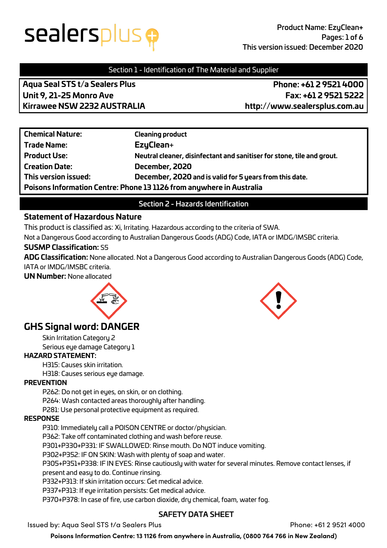## sealersplus <del>g</del>

### Section 1 - Identification of The Material and Supplier

**Aqua Seal STS t/a Sealers Plus Phone: +61 2 9521 4000 Unit 9, 21-25 Monro Ave Fax: +61 2 9521 5222 Kirrawee NSW 2232 AUSTRALIA http://www.sealersplus.com.au**

| <b>Chemical Nature:</b>                                              | <b>Cleaning product</b>                                                |
|----------------------------------------------------------------------|------------------------------------------------------------------------|
| <b>Trade Name:</b>                                                   | EzyClean+                                                              |
| <b>Product Use:</b>                                                  | Neutral cleaner, disinfectant and sanitiser for stone, tile and grout. |
| <b>Creation Date:</b>                                                | December, 2020                                                         |
| This version issued:                                                 | December, 2020 and is valid for 5 years from this date.                |
| Poisons Information Centre: Phone 13 1126 from anywhere in Australia |                                                                        |

### Section 2 - Hazards Identification

### **Statement of Hazardous Nature**

This product is classified as: Xi, Irritating. Hazardous according to the criteria of SWA.

Not a Dangerous Good according to Australian Dangerous Goods (ADG) Code, IATA or IMDG/IMSBC criteria.

### **SUSMP Classification:** S5

**ADG Classification:** None allocated. Not a Dangerous Good according to Australian Dangerous Goods (ADG) Code, IATA or IMDG/IMSBC criteria.

**UN Number:** None allocated



### **GHS Signal word: DANGER**

Skin Irritation Category 2 Serious eye damage Category 1

### **HAZARD STATEMENT:**

H315: Causes skin irritation.

H318: Causes serious eye damage.

### **PREVENTION**

P262: Do not get in eyes, on skin, or on clothing.

P264: Wash contacted areas thoroughly after handling.

P281: Use personal protective equipment as required.

### **RESPONSE**

P310: Immediately call a POISON CENTRE or doctor/physician.

P362: Take off contaminated clothing and wash before reuse.

P301+P330+P331: IF SWALLOWED: Rinse mouth. Do NOT induce vomiting.

P302+P352: IF ON SKIN: Wash with plenty of soap and water.

P305+P351+P338: IF IN EYES: Rinse cautiously with water for several minutes. Remove contact lenses, if

present and easy to do. Continue rinsing.

P332+P313: If skin irritation occurs: Get medical advice.

P337+P313: If eye irritation persists: Get medical advice.

P370+P378: In case of fire, use carbon dioxide, dry chemical, foam, water fog.

### SAFETY DATA SHEET

Issued by: Aqua Seal STS t/a Sealers Plus Phone: +61 2 9521 4000

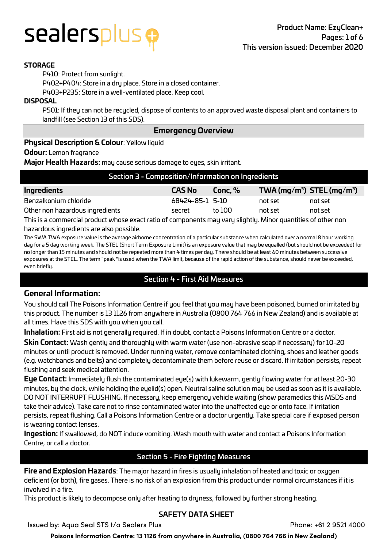### sealersplus <del>o</del>

### **STORAGE**

P410: Protect from sunlight.

P402+P404: Store in a dry place. Store in a closed container.

P403+P235: Store in a well-ventilated place. Keep cool.

#### **DISPOSAL**

P501: If they can not be recycled, dispose of contents to an approved waste disposal plant and containers to landfill (see Section 13 of this SDS).

### **Emergency Overview**

### **Physical Description & Colour**: Yellow liquid

#### **Odour:** Lemon fragrance

**Major Health Hazards:** may cause serious damage to eyes, skin irritant.

| Section 3 - Composition/Information on Ingredients                                                                |                 |         |         |                                                    |
|-------------------------------------------------------------------------------------------------------------------|-----------------|---------|---------|----------------------------------------------------|
| Ingredients                                                                                                       | <b>CAS No</b>   | Conc, % |         | TWA (mg/m <sup>3</sup> ) STEL (mg/m <sup>3</sup> ) |
| Benzalkonium chloride                                                                                             | 68424-85-1 5-10 |         | not set | not set                                            |
| Other non hazardous ingredients                                                                                   | secret          | to 100  | not set | not set                                            |
| This is a conservately and denotes a conservate of consequence converged altaher. After a consettive of exhaustic |                 |         |         |                                                    |

This is a commercial product whose exact ratio of components may vary slightly. Minor quantities of other non hazardous ingredients are also possible.

The SWA TWA exposure value is the average airborne concentration of a particular substance when calculated over a normal 8 hour working day for a 5 day working week. The STEL (Short Term Exposure Limit) is an exposure value that may be equalled (but should not be exceeded) for no longer than 15 minutes and should not be repeated more than 4 times per day. There should be at least 60 minutes between successive exposures at the STEL. The term "peak "is used when the TWA limit, because of the rapid action of the substance, should never be exceeded, even briefly.

### Section 4 - First Aid Measures

### **General Information:**

You should call The Poisons Information Centre if you feel that you may have been poisoned, burned or irritated by this product. The number is 13 1126 from anywhere in Australia (0800 764 766 in New Zealand) and is available at all times. Have this SDS with you when you call.

**Inhalation:** First aid is not generally required. If in doubt, contact a Poisons Information Centre or a doctor.

**Skin Contact:** Wash gently and thoroughly with warm water (use non-abrasive soap if necessary) for 10-20 minutes or until product is removed. Under running water, remove contaminated clothing, shoes and leather goods (e.g. watchbands and belts) and completely decontaminate them before reuse or discard. If irritation persists, repeat flushing and seek medical attention.

**Eye Contact:** Immediately flush the contaminated eye(s) with lukewarm, gently flowing water for at least 20-30 minutes, by the clock, while holding the eyelid(s) open. Neutral saline solution may be used as soon as it is available. DO NOT INTERRUPT FLUSHING. If necessary, keep emergency vehicle waiting (show paramedics this MSDS and take their advice). Take care not to rinse contaminated water into the unaffected eye or onto face. If irritation persists, repeat flushing. Call a Poisons Information Centre or a doctor urgently. Take special care if exposed person is wearing contact lenses.

**Ingestion:** If swallowed, do NOT induce vomiting. Wash mouth with water and contact a Poisons Information Centre, or call a doctor.

### Section 5 - Fire Fighting Measures

**Fire and Explosion Hazards**: The major hazard in fires is usually inhalation of heated and toxic or oxygen deficient (or both), fire gases. There is no risk of an explosion from this product under normal circumstances if it is involved in a fire.

This product is likely to decompose only after heating to dryness, followed by further strong heating.

### SAFETY DATA SHEET

Issued by: Aqua Seal STS t/a Sealers Plus Phone: +61 2 9521 4000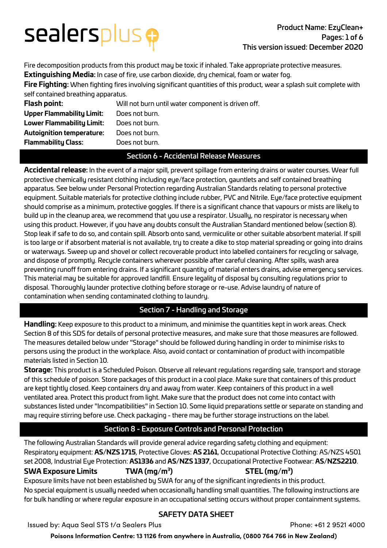# sealersplus e

Fire decomposition products from this product may be toxic if inhaled. Take appropriate protective measures. **Extinguishing Media:** In case of fire, use carbon dioxide, dry chemical, foam or water fog.

**Fire Fighting:** When fighting fires involving significant quantities of this product, wear a splash suit complete with self contained breathing apparatus.

| Flash point:              | Will not burn until water component is driven off. |
|---------------------------|----------------------------------------------------|
| Upper Flammability Limit: | Does not burn.                                     |
| Lower Flammability Limit: | Does not burn.                                     |
| Autoignition temperature: | Does not burn.                                     |
| Flammability Class:       | Does not burn.                                     |
|                           |                                                    |

### Section 6 - Accidental Release Measures

**Accidental release:** In the event of a major spill, prevent spillage from entering drains or water courses. Wear full protective chemically resistant clothing including eye/face protection, gauntlets and self contained breathing apparatus. See below under Personal Protection regarding Australian Standards relating to personal protective equipment. Suitable materials for protective clothing include rubber, PVC and Nitrile. Eye/face protective equipment should comprise as a minimum, protective goggles. If there is a significant chance that vapours or mists are likely to build up in the cleanup area, we recommend that you use a respirator. Usually, no respirator is necessary when using this product. However, if you have any doubts consult the Australian Standard mentioned below (section 8). Stop leak if safe to do so, and contain spill. Absorb onto sand, vermiculite or other suitable absorbent material. If spill is too large or if absorbent material is not available, try to create a dike to stop material spreading or going into drains or waterways. Sweep up and shovel or collect recoverable product into labelled containers for recycling or salvage, and dispose of promptly. Recycle containers wherever possible after careful cleaning. After spills, wash area preventing runoff from entering drains. If a significant quantity of material enters drains, advise emergency services. This material may be suitable for approved landfill. Ensure legality of disposal by consulting regulations prior to disposal. Thoroughly launder protective clothing before storage or re-use. Advise laundry of nature of contamination when sending contaminated clothing to laundry.

### Section 7 - Handling and Storage

**Handling:** Keep exposure to this product to a minimum, and minimise the quantities kept in work areas. Check Section 8 of this SDS for details of personal protective measures, and make sure that those measures are followed. The measures detailed below under "Storage" should be followed during handling in order to minimise risks to persons using the product in the workplace. Also, avoid contact or contamination of product with incompatible materials listed in Section 10.

**Storage:** This product is a Scheduled Poison. Observe all relevant regulations regarding sale, transport and storage of this schedule of poison. Store packages of this product in a cool place. Make sure that containers of this product are kept tightly closed. Keep containers dry and away from water. Keep containers of this product in a well ventilated area. Protect this product from light. Make sure that the product does not come into contact with substances listed under "Incompatibilities" in Section 10. Some liquid preparations settle or separate on standing and may require stirring before use. Check packaging - there may be further storage instructions on the label.

### Section 8 - Exposure Controls and Personal Protection

The following Australian Standards will provide general advice regarding safety clothing and equipment: Respiratory equipment: **AS/NZS 1715**, Protective Gloves: **AS 2161**, Occupational Protective Clothing: AS/NZS 4501 set 2008, Industrial Eye Protection: **AS1336** and **AS/NZS 1337**, Occupational Protective Footwear: **AS/NZS2210**. **) STEL (mg/m3 )**

### **SWA Exposure Limits TWA (mg/m3**

Exposure limits have not been established by SWA for any of the significant ingredients in this product. No special equipment is usually needed when occasionally handling small quantities. The following instructions are for bulk handling or where regular exposure in an occupational setting occurs without proper containment systems.

### SAFETY DATA SHEET

Issued by: Aqua Seal STS t/a Sealers Plus Phone: +61 2 9521 4000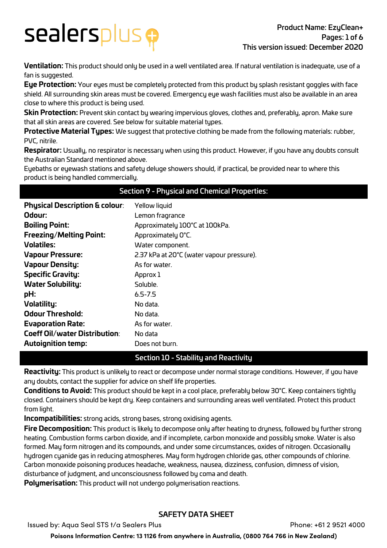## sealersplus <del>p</del>

**Ventilation:** This product should only be used in a well ventilated area. If natural ventilation is inadequate, use of a fan is suggested.

**Eye Protection:** Your eyes must be completely protected from this product by splash resistant goggles with face shield. All surrounding skin areas must be covered. Emergency eye wash facilities must also be available in an area close to where this product is being used.

**Skin Protection:** Prevent skin contact by wearing impervious gloves, clothes and, preferably, apron. Make sure that all skin areas are covered. See below for suitable material types.

**Protective Material Types:** We suggest that protective clothing be made from the following materials: rubber, PVC, nitrile.

**Respirator:** Usually, no respirator is necessary when using this product. However, if you have any doubts consult the Australian Standard mentioned above.

Section 9 - Physical and Chemical Properties:

Eyebaths or eyewash stations and safety deluge showers should, if practical, be provided near to where this product is being handled commercially.

| <b>Physical Description &amp; colour:</b> Yellow liquid |                 |  |
|---------------------------------------------------------|-----------------|--|
| Odour:                                                  | Lemon fragrance |  |

| Odour:                               | Lemon fragrance                           |
|--------------------------------------|-------------------------------------------|
| <b>Boiling Point:</b>                | Approximately 100°C at 100kPa.            |
| <b>Freezing/Melting Point:</b>       | Approximately O°C.                        |
| <b>Volatiles:</b>                    | Water component.                          |
| <b>Vapour Pressure:</b>              | 2.37 kPa at 20°C (water vapour pressure). |
| <b>Vapour Density:</b>               | As for water.                             |
| <b>Specific Gravity:</b>             | Approx 1                                  |
| <b>Water Solubility:</b>             | Soluble.                                  |
| pH:                                  | $6.5 - 7.5$                               |
| <b>Volatility:</b>                   | No data.                                  |
| <b>Odour Threshold:</b>              | No data.                                  |
| <b>Evaporation Rate:</b>             | As for water.                             |
| <b>Coeff Oil/water Distribution:</b> | No data                                   |
| <b>Autoignition temp:</b>            | Does not burn.                            |

### Section 10 - Stability and Reactivity

**Reactivity:** This product is unlikely to react or decompose under normal storage conditions. However, if you have any doubts, contact the supplier for advice on shelf life properties.

**Conditions to Avoid:** This product should be kept in a cool place, preferably below 30°C. Keep containers tightly closed. Containers should be kept dry. Keep containers and surrounding areas well ventilated. Protect this product from light.

**Incompatibilities:** strong acids, strong bases, strong oxidising agents.

**Fire Decomposition:** This product is likely to decompose only after heating to dryness, followed by further strong heating. Combustion forms carbon dioxide, and if incomplete, carbon monoxide and possibly smoke. Water is also formed. May form nitrogen and its compounds, and under some circumstances, oxides of nitrogen. Occasionally hydrogen cyanide gas in reducing atmospheres. May form hydrogen chloride gas, other compounds of chlorine. Carbon monoxide poisoning produces headache, weakness, nausea, dizziness, confusion, dimness of vision, disturbance of judgment, and unconsciousness followed by coma and death.

**Polymerisation:** This product will not undergo polymerisation reactions.

### SAFETY DATA SHEET

Issued by: Aqua Seal STS t/a Sealers Plus Phone: +61 2 9521 4000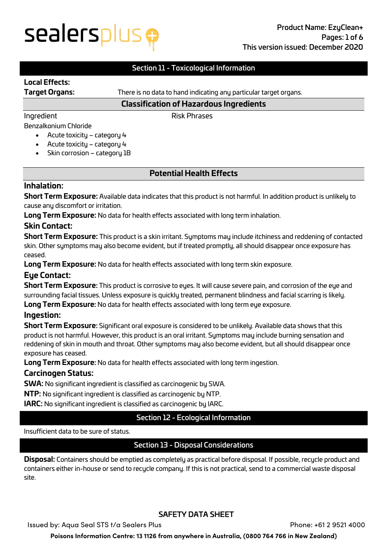## sealersplus e

### Section 11 - Toxicological Information

### **Local Effects:**

**Target Organs:** There is no data to hand indicating any particular target organs.

### **Classification of Hazardous Ingredients**

Ingredient Risk Phrases

### Benzalkonium Chloride

- Acute toxicity category 4
- Acute toxicity category 4
- Skin corrosion category 1B

### **Potential Health Effects**

### **Inhalation:**

**Short Term Exposure:** Available data indicates that this product is not harmful. In addition product is unlikely to cause any discomfort or irritation.

**Long Term Exposure:** No data for health effects associated with long term inhalation.

### **Skin Contact:**

**Short Term Exposure:** This product is a skin irritant. Symptoms may include itchiness and reddening of contacted skin. Other symptoms may also become evident, but if treated promptly, all should disappear once exposure has ceased.

**Long Term Exposure:** No data for health effects associated with long term skin exposure.

### **Eye Contact:**

**Short Term Exposure:** This product is corrosive to eyes. It will cause severe pain, and corrosion of the eye and surrounding facial tissues. Unless exposure is quickly treated, permanent blindness and facial scarring is likely. **Long Term Exposure:** No data for health effects associated with long term eye exposure.

### **Ingestion:**

**Short Term Exposure:** Significant oral exposure is considered to be unlikely. Available data shows that this product is not harmful. However, this product is an oral irritant. Symptoms may include burning sensation and reddening of skin in mouth and throat. Other symptoms may also become evident, but all should disappear once exposure has ceased.

**Long Term Exposure:** No data for health effects associated with long term ingestion.

### **Carcinogen Status:**

**SWA:** No significant ingredient is classified as carcinogenic by SWA.

**NTP:** No significant ingredient is classified as carcinogenic by NTP.

**IARC:** No significant ingredient is classified as carcinogenic by IARC.

### Section 12 - Ecological Information

#### Insufficient data to be sure of status.

### Section 13 - Disposal Considerations

**Disposal:** Containers should be emptied as completely as practical before disposal. If possible, recycle product and containers either in-house or send to recycle company. If this is not practical, send to a commercial waste disposal site.

### SAFETY DATA SHEET

Issued by: Aqua Seal STS t/a Sealers Plus Phone: +61 2 9521 4000